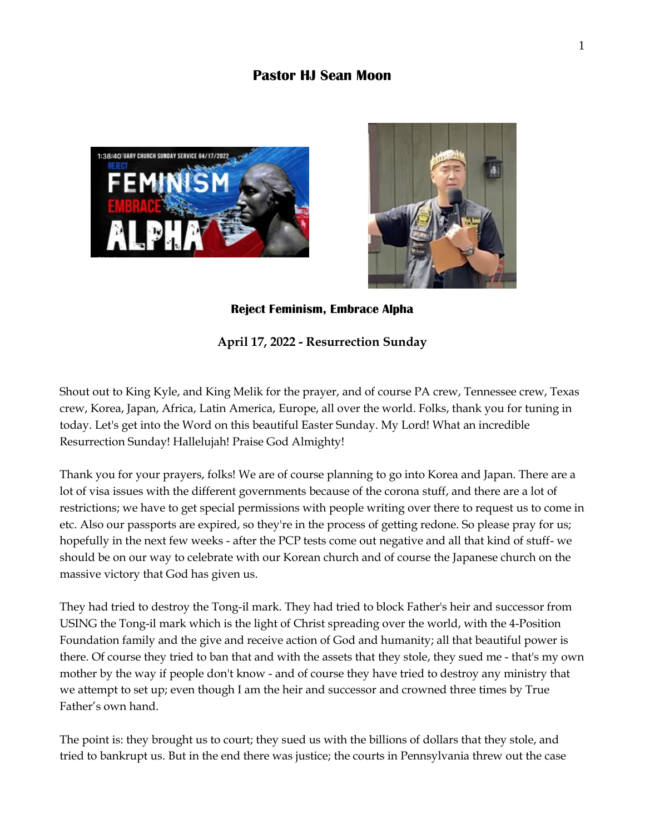# **Pastor HJ Sean Moon**





**Reject Feminism, Embrace Alpha** 

## **April 17, 2022 - Resurrection Sunday**

Shout out to King Kyle, and King Melik for the prayer, and of course PA crew, Tennessee crew, Texas crew, Korea, Japan, Africa, Latin America, Europe, all over the world. Folks, thank you for tuning in today. Let's get into the Word on this beautiful Easter Sunday. My Lord! What an incredible Resurrection Sunday! Hallelujah! Praise God Almighty!

Thank you for your prayers, folks! We are of course planning to go into Korea and Japan. There are a lot of visa issues with the different governments because of the corona stuff, and there are a lot of restrictions; we have to get special permissions with people writing over there to request us to come in etc. Also our passports are expired, so they're in the process of getting redone. So please pray for us; hopefully in the next few weeks - after the PCP tests come out negative and all that kind of stuff- we should be on our way to celebrate with our Korean church and of course the Japanese church on the massive victory that God has given us.

They had tried to destroy the Tong-il mark. They had tried to block Father's heir and successor from USING the Tong-il mark which is the light of Christ spreading over the world, with the 4-Position Foundation family and the give and receive action of God and humanity; all that beautiful power is there. Of course they tried to ban that and with the assets that they stole, they sued me - that's my own mother by the way if people don't know - and of course they have tried to destroy any ministry that we attempt to set up; even though I am the heir and successor and crowned three times by True Father's own hand.

The point is: they brought us to court; they sued us with the billions of dollars that they stole, and tried to bankrupt us. But in the end there was justice; the courts in Pennsylvania threw out the case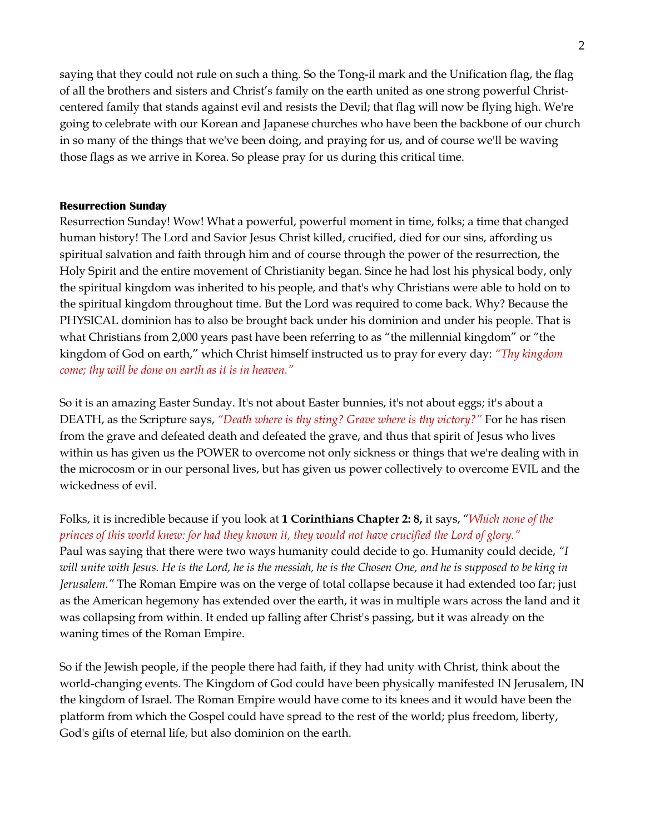saying that they could not rule on such a thing. So the Tong-il mark and the Unification flag, the flag of all the brothers and sisters and Christ's family on the earth united as one strong powerful Christcentered family that stands against evil and resists the Devil; that flag will now be flying high. We're going to celebrate with our Korean and Japanese churches who have been the backbone of our church in so many of the things that we've been doing, and praying for us, and of course we'll be waving those flags as we arrive in Korea. So please pray for us during this critical time.

### **Resurrection Sunday**

Resurrection Sunday! Wow! What a powerful, powerful moment in time, folks; a time that changed human history! The Lord and Savior Jesus Christ killed, crucified, died for our sins, affording us spiritual salvation and faith through him and of course through the power of the resurrection, the Holy Spirit and the entire movement of Christianity began. Since he had lost his physical body, only the spiritual kingdom was inherited to his people, and that's why Christians were able to hold on to the spiritual kingdom throughout time. But the Lord was required to come back. Why? Because the PHYSICAL dominion has to also be brought back under his dominion and under his people. That is what Christians from 2,000 years past have been referring to as "the millennial kingdom" or "the kingdom of God on earth," which Christ himself instructed us to pray for every day: *"Thy kingdom come; thy will be done on earth as it is in heaven."*

So it is an amazing Easter Sunday. It's not about Easter bunnies, it's not about eggs; it's about a DEATH, as the Scripture says, *"Death where is thy sting? Grave where is thy victory?"* For he has risen from the grave and defeated death and defeated the grave, and thus that spirit of Jesus who lives within us has given us the POWER to overcome not only sickness or things that we're dealing with in the microcosm or in our personal lives, but has given us power collectively to overcome EVIL and the wickedness of evil.

Folks, it is incredible because if you look at **1 Corinthians Chapter 2: 8,** it says, "*Which none of the princes of this world knew: for had they known it, they would not have crucified the Lord of glory."* Paul was saying that there were two ways humanity could decide to go. Humanity could decide, *"I will unite with Jesus. He is the Lord, he is the messiah, he is the Chosen One, and he is supposed to be king in Jerusalem."* The Roman Empire was on the verge of total collapse because it had extended too far; just as the American hegemony has extended over the earth, it was in multiple wars across the land and it was collapsing from within. It ended up falling after Christ's passing, but it was already on the waning times of the Roman Empire.

So if the Jewish people, if the people there had faith, if they had unity with Christ, think about the world-changing events. The Kingdom of God could have been physically manifested IN Jerusalem, IN the kingdom of Israel. The Roman Empire would have come to its knees and it would have been the platform from which the Gospel could have spread to the rest of the world; plus freedom, liberty, God's gifts of eternal life, but also dominion on the earth.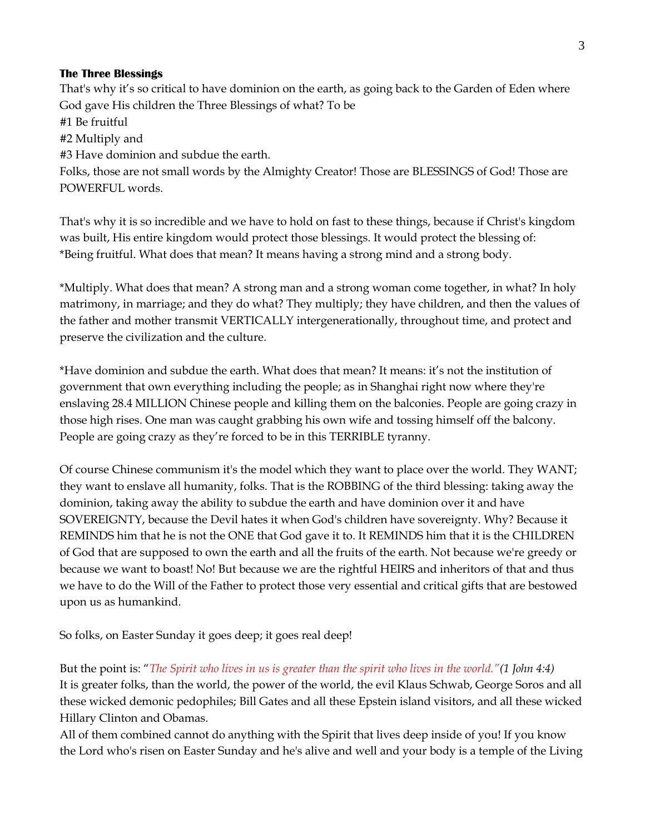#### **The Three Blessings**

That's why it's so critical to have dominion on the earth, as going back to the Garden of Eden where God gave His children the Three Blessings of what? To be #1 Be fruitful #2 Multiply and #3 Have dominion and subdue the earth. Folks, those are not small words by the Almighty Creator! Those are BLESSINGS of God! Those are POWERFUL words.

That's why it is so incredible and we have to hold on fast to these things, because if Christ's kingdom was built, His entire kingdom would protect those blessings. It would protect the blessing of: \*Being fruitful. What does that mean? It means having a strong mind and a strong body.

\*Multiply. What does that mean? A strong man and a strong woman come together, in what? In holy matrimony, in marriage; and they do what? They multiply; they have children, and then the values of the father and mother transmit VERTICALLY intergenerationally, throughout time, and protect and preserve the civilization and the culture.

\*Have dominion and subdue the earth. What does that mean? It means: it's not the institution of government that own everything including the people; as in Shanghai right now where they're enslaving 28.4 MILLION Chinese people and killing them on the balconies. People are going crazy in those high rises. One man was caught grabbing his own wife and tossing himself off the balcony. People are going crazy as they're forced to be in this TERRIBLE tyranny.

Of course Chinese communism it's the model which they want to place over the world. They WANT; they want to enslave all humanity, folks. That is the ROBBING of the third blessing: taking away the dominion, taking away the ability to subdue the earth and have dominion over it and have SOVEREIGNTY, because the Devil hates it when God's children have sovereignty. Why? Because it REMINDS him that he is not the ONE that God gave it to. It REMINDS him that it is the CHILDREN of God that are supposed to own the earth and all the fruits of the earth. Not because we're greedy or because we want to boast! No! But because we are the rightful HEIRS and inheritors of that and thus we have to do the Will of the Father to protect those very essential and critical gifts that are bestowed upon us as humankind.

So folks, on Easter Sunday it goes deep; it goes real deep!

But the point is: "*The Spirit who lives in us is greater than the spirit who lives in the world."(1 John 4:4)* It is greater folks, than the world, the power of the world, the evil Klaus Schwab, George Soros and all these wicked demonic pedophiles; Bill Gates and all these Epstein island visitors, and all these wicked Hillary Clinton and Obamas.

All of them combined cannot do anything with the Spirit that lives deep inside of you! If you know the Lord who's risen on Easter Sunday and he's alive and well and your body is a temple of the Living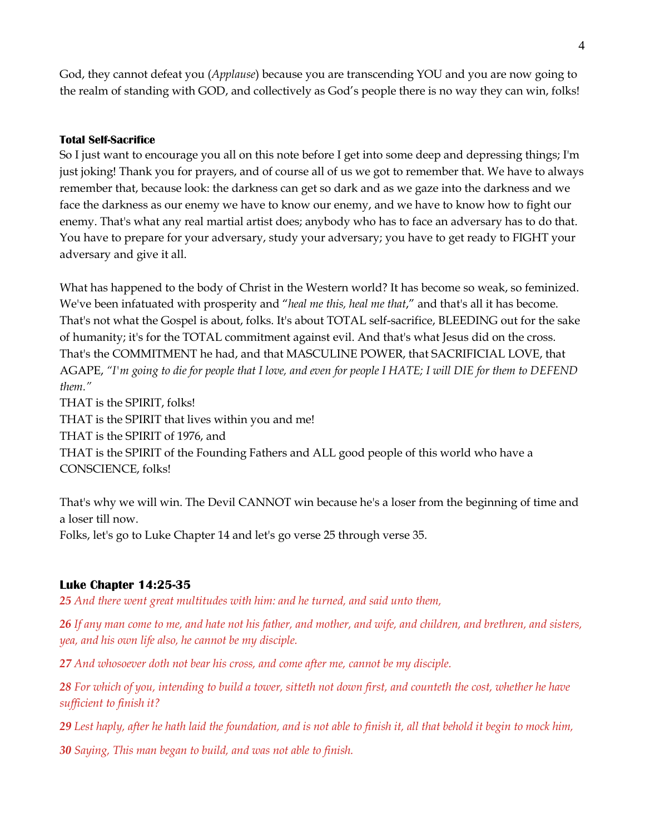God, they cannot defeat you (*Applause*) because you are transcending YOU and you are now going to the realm of standing with GOD, and collectively as God's people there is no way they can win, folks!

## **Total Self-Sacrifice**

So I just want to encourage you all on this note before I get into some deep and depressing things; I'm just joking! Thank you for prayers, and of course all of us we got to remember that. We have to always remember that, because look: the darkness can get so dark and as we gaze into the darkness and we face the darkness as our enemy we have to know our enemy, and we have to know how to fight our enemy. That's what any real martial artist does; anybody who has to face an adversary has to do that. You have to prepare for your adversary, study your adversary; you have to get ready to FIGHT your adversary and give it all.

What has happened to the body of Christ in the Western world? It has become so weak, so feminized. We've been infatuated with prosperity and "*heal me this, heal me that*," and that's all it has become. That's not what the Gospel is about, folks. It's about TOTAL self-sacrifice, BLEEDING out for the sake of humanity; it's for the TOTAL commitment against evil. And that's what Jesus did on the cross. That's the COMMITMENT he had, and that MASCULINE POWER, that SACRIFICIAL LOVE, that AGAPE, *"I'm going to die for people that I love, and even for people I HATE; I will DIE for them to DEFEND them."*

THAT is the SPIRIT, folks!

THAT is the SPIRIT that lives within you and me!

THAT is the SPIRIT of 1976, and

THAT is the SPIRIT of the Founding Fathers and ALL good people of this world who have a CONSCIENCE, folks!

That's why we will win. The Devil CANNOT win because he's a loser from the beginning of time and a loser till now.

Folks, let's go to Luke Chapter 14 and let's go verse 25 through verse 35.

## **Luke Chapter 14:25-35**

*25 And there went great multitudes with him: and he turned, and said unto them,* 

*26 If any man come to me, and hate not his father, and mother, and wife, and children, and brethren, and sisters, yea, and his own life also, he cannot be my disciple.* 

*27 And whosoever doth not bear his cross, and come after me, cannot be my disciple.* 

*28 For which of you, intending to build a tower, sitteth not down first, and counteth the cost, whether he have sufficient to finish it?* 

*29 Lest haply, after he hath laid the foundation, and is not able to finish it, all that behold it begin to mock him,* 

*30 Saying, This man began to build, and was not able to finish.*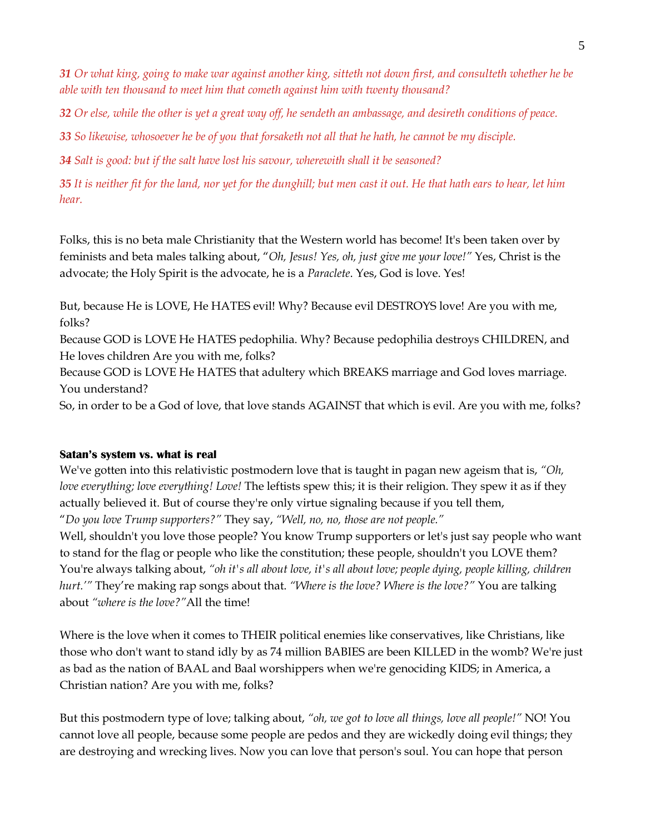*31 Or what king, going to make war against another king, sitteth not down first, and consulteth whether he be able with ten thousand to meet him that cometh against him with twenty thousand?* 

*32 Or else, while the other is yet a great way off, he sendeth an ambassage, and desireth conditions of peace.* 

*33 So likewise, whosoever he be of you that forsaketh not all that he hath, he cannot be my disciple.* 

*34 Salt is good: but if the salt have lost his savour, wherewith shall it be seasoned?* 

*35 It is neither fit for the land, nor yet for the dunghill; but men cast it out. He that hath ears to hear, let him hear.*

Folks, this is no beta male Christianity that the Western world has become! It's been taken over by feminists and beta males talking about, "*Oh, Jesus! Yes, oh, just give me your love!"* Yes, Christ is the advocate; the Holy Spirit is the advocate, he is a *Paraclete*. Yes, God is love. Yes!

But, because He is LOVE, He HATES evil! Why? Because evil DESTROYS love! Are you with me, folks?

Because GOD is LOVE He HATES pedophilia. Why? Because pedophilia destroys CHILDREN, and He loves children Are you with me, folks?

Because GOD is LOVE He HATES that adultery which BREAKS marriage and God loves marriage. You understand?

So, in order to be a God of love, that love stands AGAINST that which is evil. Are you with me, folks?

### **Satan's system vs. what is real**

We've gotten into this relativistic postmodern love that is taught in pagan new ageism that is, *"Oh, love everything; love everything! Love!* The leftists spew this; it is their religion. They spew it as if they actually believed it. But of course they're only virtue signaling because if you tell them, "*Do you love Trump supporters?"* They say, *"Well, no, no, those are not people."*

Well, shouldn't you love those people? You know Trump supporters or let's just say people who want to stand for the flag or people who like the constitution; these people, shouldn't you LOVE them? You're always talking about, *"oh it's all about love, it's all about love; people dying, people killing, children hurt.'"* They're making rap songs about that. *"Where is the love? Where is the love?"* You are talking about *"where is the love?"*All the time!

Where is the love when it comes to THEIR political enemies like conservatives, like Christians, like those who don't want to stand idly by as 74 million BABIES are been KILLED in the womb? We're just as bad as the nation of BAAL and Baal worshippers when we're genociding KIDS; in America, a Christian nation? Are you with me, folks?

But this postmodern type of love; talking about, *"oh, we got to love all things, love all people!"* NO! You cannot love all people, because some people are pedos and they are wickedly doing evil things; they are destroying and wrecking lives. Now you can love that person's soul. You can hope that person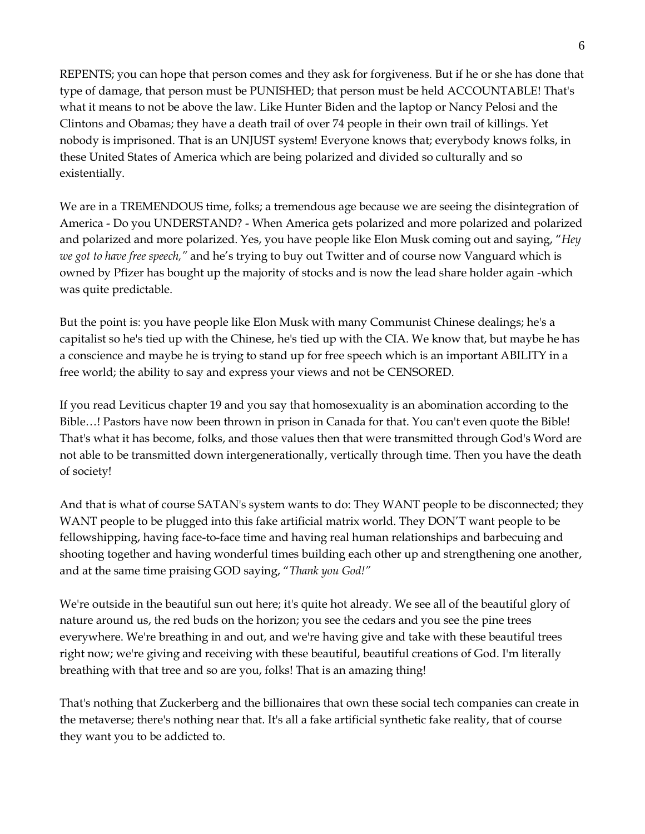REPENTS; you can hope that person comes and they ask for forgiveness. But if he or she has done that type of damage, that person must be PUNISHED; that person must be held ACCOUNTABLE! That's what it means to not be above the law. Like Hunter Biden and the laptop or Nancy Pelosi and the Clintons and Obamas; they have a death trail of over 74 people in their own trail of killings. Yet nobody is imprisoned. That is an UNJUST system! Everyone knows that; everybody knows folks, in these United States of America which are being polarized and divided so culturally and so existentially.

We are in a TREMENDOUS time, folks; a tremendous age because we are seeing the disintegration of America - Do you UNDERSTAND? - When America gets polarized and more polarized and polarized and polarized and more polarized. Yes, you have people like Elon Musk coming out and saying, "*Hey we got to have free speech,"* and he's trying to buy out Twitter and of course now Vanguard which is owned by Pfizer has bought up the majority of stocks and is now the lead share holder again -which was quite predictable.

But the point is: you have people like Elon Musk with many Communist Chinese dealings; he's a capitalist so he's tied up with the Chinese, he's tied up with the CIA. We know that, but maybe he has a conscience and maybe he is trying to stand up for free speech which is an important ABILITY in a free world; the ability to say and express your views and not be CENSORED.

If you read Leviticus chapter 19 and you say that homosexuality is an abomination according to the Bible…! Pastors have now been thrown in prison in Canada for that. You can't even quote the Bible! That's what it has become, folks, and those values then that were transmitted through God's Word are not able to be transmitted down intergenerationally, vertically through time. Then you have the death of society!

And that is what of course SATAN's system wants to do: They WANT people to be disconnected; they WANT people to be plugged into this fake artificial matrix world. They DON'T want people to be fellowshipping, having face-to-face time and having real human relationships and barbecuing and shooting together and having wonderful times building each other up and strengthening one another, and at the same time praising GOD saying, "*Thank you God!"*

We're outside in the beautiful sun out here; it's quite hot already. We see all of the beautiful glory of nature around us, the red buds on the horizon; you see the cedars and you see the pine trees everywhere. We're breathing in and out, and we're having give and take with these beautiful trees right now; we're giving and receiving with these beautiful, beautiful creations of God. I'm literally breathing with that tree and so are you, folks! That is an amazing thing!

That's nothing that Zuckerberg and the billionaires that own these social tech companies can create in the metaverse; there's nothing near that. It's all a fake artificial synthetic fake reality, that of course they want you to be addicted to.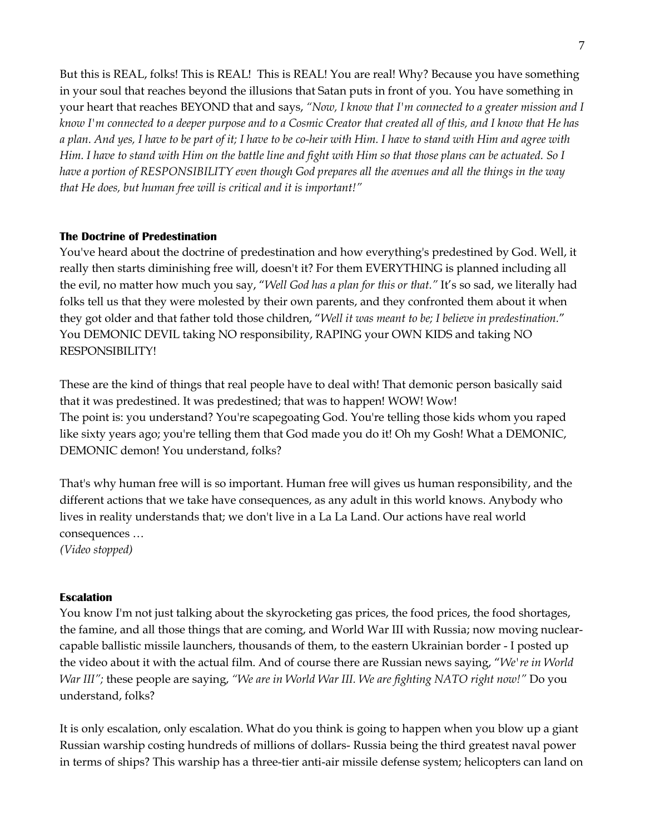But this is REAL, folks! This is REAL! This is REAL! You are real! Why? Because you have something in your soul that reaches beyond the illusions that Satan puts in front of you. You have something in your heart that reaches BEYOND that and says, *"Now, I know that I'm connected to a greater mission and I know I'm connected to a deeper purpose and to a Cosmic Creator that created all of this, and I know that He has a plan. And yes, I have to be part of it; I have to be co-heir with Him. I have to stand with Him and agree with Him. I have to stand with Him on the battle line and fight with Him so that those plans can be actuated. So I have a portion of RESPONSIBILITY even though God prepares all the avenues and all the things in the way that He does, but human free will is critical and it is important!"*

### **The Doctrine of Predestination**

You've heard about the doctrine of predestination and how everything's predestined by God. Well, it really then starts diminishing free will, doesn't it? For them EVERYTHING is planned including all the evil, no matter how much you say, "*Well God has a plan for this or that."* It's so sad, we literally had folks tell us that they were molested by their own parents, and they confronted them about it when they got older and that father told those children, "*Well it was meant to be; I believe in predestination.*" You DEMONIC DEVIL taking NO responsibility, RAPING your OWN KIDS and taking NO RESPONSIBILITY!

These are the kind of things that real people have to deal with! That demonic person basically said that it was predestined. It was predestined; that was to happen! WOW! Wow! The point is: you understand? You're scapegoating God. You're telling those kids whom you raped like sixty years ago; you're telling them that God made you do it! Oh my Gosh! What a DEMONIC, DEMONIC demon! You understand, folks?

That's why human free will is so important. Human free will gives us human responsibility, and the different actions that we take have consequences, as any adult in this world knows. Anybody who lives in reality understands that; we don't live in a La La Land. Our actions have real world consequences … *(Video stopped)*

## **Escalation**

You know I'm not just talking about the skyrocketing gas prices, the food prices, the food shortages, the famine, and all those things that are coming, and World War III with Russia; now moving nuclearcapable ballistic missile launchers, thousands of them, to the eastern Ukrainian border - I posted up the video about it with the actual film. And of course there are Russian news saying, "*We're in World War III";* these people are saying, *"We are in World War III. We are fighting NATO right now!"* Do you understand, folks?

It is only escalation, only escalation. What do you think is going to happen when you blow up a giant Russian warship costing hundreds of millions of dollars- Russia being the third greatest naval power in terms of ships? This warship has a three-tier anti-air missile defense system; helicopters can land on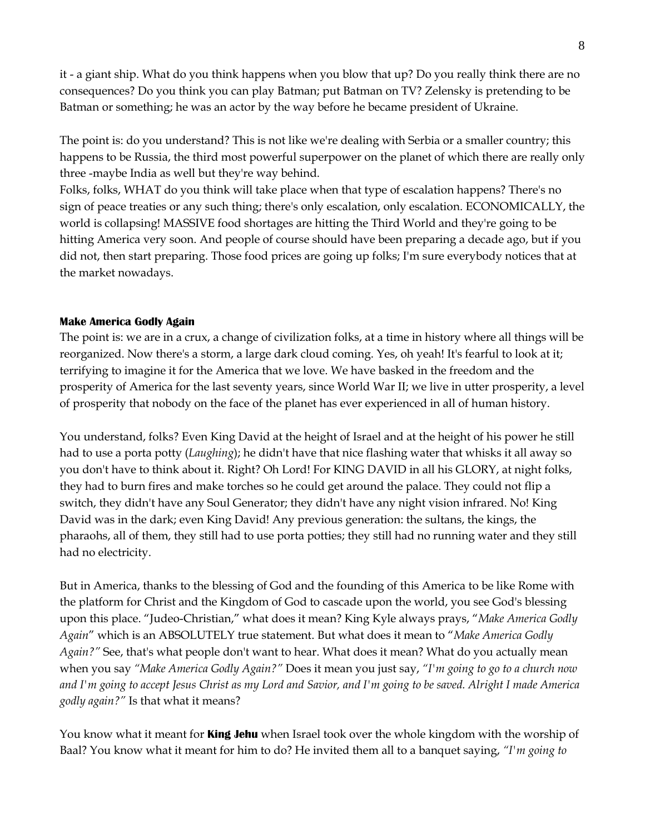it - a giant ship. What do you think happens when you blow that up? Do you really think there are no consequences? Do you think you can play Batman; put Batman on TV? Zelensky is pretending to be Batman or something; he was an actor by the way before he became president of Ukraine.

The point is: do you understand? This is not like we're dealing with Serbia or a smaller country; this happens to be Russia, the third most powerful superpower on the planet of which there are really only three -maybe India as well but they're way behind.

Folks, folks, WHAT do you think will take place when that type of escalation happens? There's no sign of peace treaties or any such thing; there's only escalation, only escalation. ECONOMICALLY, the world is collapsing! MASSIVE food shortages are hitting the Third World and they're going to be hitting America very soon. And people of course should have been preparing a decade ago, but if you did not, then start preparing. Those food prices are going up folks; I'm sure everybody notices that at the market nowadays.

### **Make America Godly Again**

The point is: we are in a crux, a change of civilization folks, at a time in history where all things will be reorganized. Now there's a storm, a large dark cloud coming. Yes, oh yeah! It's fearful to look at it; terrifying to imagine it for the America that we love. We have basked in the freedom and the prosperity of America for the last seventy years, since World War II; we live in utter prosperity, a level of prosperity that nobody on the face of the planet has ever experienced in all of human history.

You understand, folks? Even King David at the height of Israel and at the height of his power he still had to use a porta potty (*Laughing*); he didn't have that nice flashing water that whisks it all away so you don't have to think about it. Right? Oh Lord! For KING DAVID in all his GLORY, at night folks, they had to burn fires and make torches so he could get around the palace. They could not flip a switch, they didn't have any Soul Generator; they didn't have any night vision infrared. No! King David was in the dark; even King David! Any previous generation: the sultans, the kings, the pharaohs, all of them, they still had to use porta potties; they still had no running water and they still had no electricity.

But in America, thanks to the blessing of God and the founding of this America to be like Rome with the platform for Christ and the Kingdom of God to cascade upon the world, you see God's blessing upon this place. "Judeo-Christian," what does it mean? King Kyle always prays, "*Make America Godly Again*" which is an ABSOLUTELY true statement. But what does it mean to "*Make America Godly Again?"* See, that's what people don't want to hear. What does it mean? What do you actually mean when you say *"Make America Godly Again?"* Does it mean you just say, *"I'm going to go to a church now and I'm going to accept Jesus Christ as my Lord and Savior, and I'm going to be saved. Alright I made America godly again?"* Is that what it means?

You know what it meant for **King Jehu** when Israel took over the whole kingdom with the worship of Baal? You know what it meant for him to do? He invited them all to a banquet saying, *"I'm going to*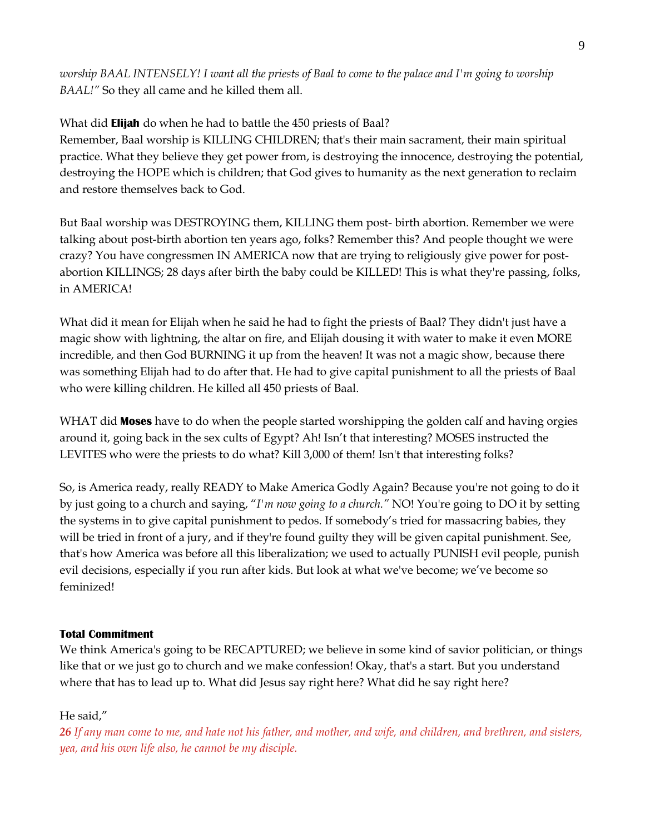*worship BAAL INTENSELY! I want all the priests of Baal to come to the palace and I'm going to worship BAAL!"* So they all came and he killed them all.

What did **Elijah** do when he had to battle the 450 priests of Baal? Remember, Baal worship is KILLING CHILDREN; that's their main sacrament, their main spiritual practice. What they believe they get power from, is destroying the innocence, destroying the potential, destroying the HOPE which is children; that God gives to humanity as the next generation to reclaim and restore themselves back to God.

But Baal worship was DESTROYING them, KILLING them post- birth abortion. Remember we were talking about post-birth abortion ten years ago, folks? Remember this? And people thought we were crazy? You have congressmen IN AMERICA now that are trying to religiously give power for postabortion KILLINGS; 28 days after birth the baby could be KILLED! This is what they're passing, folks, in AMERICA!

What did it mean for Elijah when he said he had to fight the priests of Baal? They didn't just have a magic show with lightning, the altar on fire, and Elijah dousing it with water to make it even MORE incredible, and then God BURNING it up from the heaven! It was not a magic show, because there was something Elijah had to do after that. He had to give capital punishment to all the priests of Baal who were killing children. He killed all 450 priests of Baal.

WHAT did **Moses** have to do when the people started worshipping the golden calf and having orgies around it, going back in the sex cults of Egypt? Ah! Isn't that interesting? MOSES instructed the LEVITES who were the priests to do what? Kill 3,000 of them! Isn't that interesting folks?

So, is America ready, really READY to Make America Godly Again? Because you're not going to do it by just going to a church and saying, "*I'm now going to a church."* NO! You're going to DO it by setting the systems in to give capital punishment to pedos. If somebody's tried for massacring babies, they will be tried in front of a jury, and if they're found guilty they will be given capital punishment. See, that's how America was before all this liberalization; we used to actually PUNISH evil people, punish evil decisions, especially if you run after kids. But look at what we've become; we've become so feminized!

## **Total Commitment**

We think America's going to be RECAPTURED; we believe in some kind of savior politician, or things like that or we just go to church and we make confession! Okay, that's a start. But you understand where that has to lead up to. What did Jesus say right here? What did he say right here?

# He said,"

*26 If any man come to me, and hate not his father, and mother, and wife, and children, and brethren, and sisters, yea, and his own life also, he cannot be my disciple.*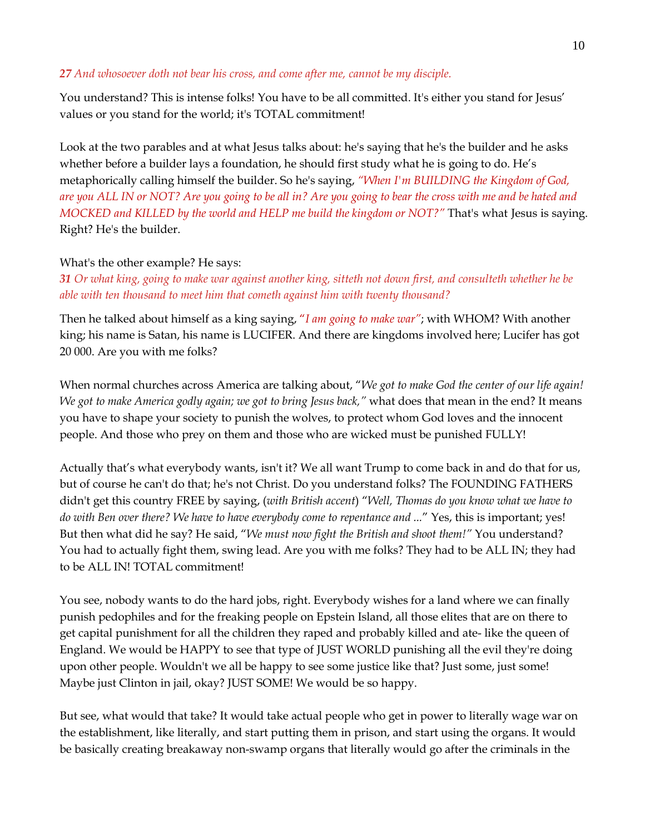### *27 And whosoever doth not bear his cross, and come after me, cannot be my disciple.*

You understand? This is intense folks! You have to be all committed. It's either you stand for Jesus' values or you stand for the world; it's TOTAL commitment!

Look at the two parables and at what Jesus talks about: he's saying that he's the builder and he asks whether before a builder lays a foundation, he should first study what he is going to do. He's metaphorically calling himself the builder. So he's saying, *"When I'm BUILDING the Kingdom of God, are you ALL IN or NOT? Are you going to be all in? Are you going to bear the cross with me and be hated and MOCKED and KILLED by the world and HELP me build the kingdom or NOT?"* That's what Jesus is saying. Right? He's the builder.

## What's the other example? He says:

*31 Or what king, going to make war against another king, sitteth not down first, and consulteth whether he be able with ten thousand to meet him that cometh against him with twenty thousand?*

Then he talked about himself as a king saying, "*I am going to make war"*; with WHOM? With another king; his name is Satan, his name is LUCIFER. And there are kingdoms involved here; Lucifer has got 20 000. Are you with me folks?

When normal churches across America are talking about, "*We got to make God the center of our life again! We got to make America godly again; we got to bring Jesus back,"* what does that mean in the end? It means you have to shape your society to punish the wolves, to protect whom God loves and the innocent people. And those who prey on them and those who are wicked must be punished FULLY!

Actually that's what everybody wants, isn't it? We all want Trump to come back in and do that for us, but of course he can't do that; he's not Christ. Do you understand folks? The FOUNDING FATHERS didn't get this country FREE by saying, (*with British accent*) "*Well, Thomas do you know what we have to do with Ben over there? We have to have everybody come to repentance and ...*" Yes, this is important; yes! But then what did he say? He said, "*We must now fight the British and shoot them!"* You understand? You had to actually fight them, swing lead. Are you with me folks? They had to be ALL IN; they had to be ALL IN! TOTAL commitment!

You see, nobody wants to do the hard jobs, right. Everybody wishes for a land where we can finally punish pedophiles and for the freaking people on Epstein Island, all those elites that are on there to get capital punishment for all the children they raped and probably killed and ate- like the queen of England. We would be HAPPY to see that type of JUST WORLD punishing all the evil they're doing upon other people. Wouldn't we all be happy to see some justice like that? Just some, just some! Maybe just Clinton in jail, okay? JUST SOME! We would be so happy.

But see, what would that take? It would take actual people who get in power to literally wage war on the establishment, like literally, and start putting them in prison, and start using the organs. It would be basically creating breakaway non-swamp organs that literally would go after the criminals in the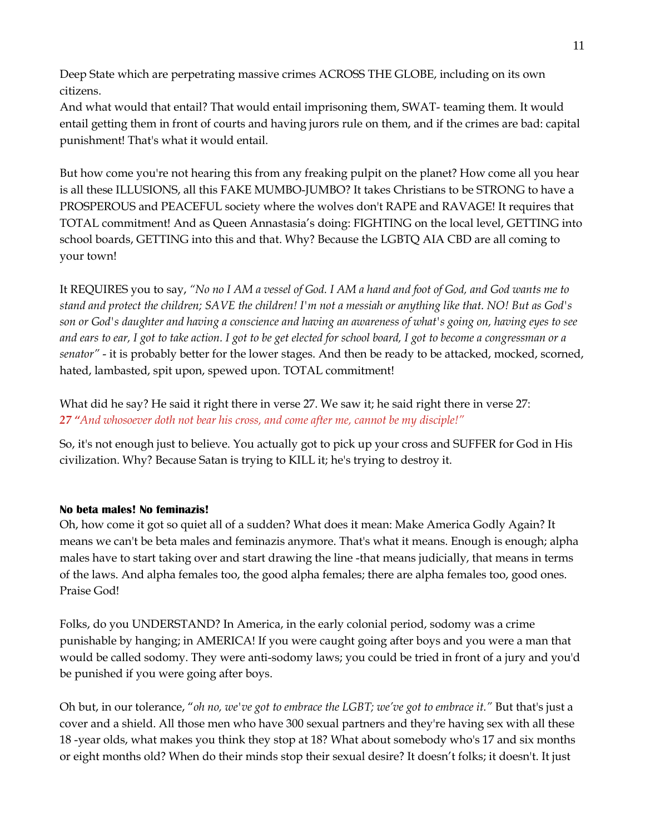Deep State which are perpetrating massive crimes ACROSS THE GLOBE, including on its own citizens.

And what would that entail? That would entail imprisoning them, SWAT- teaming them. It would entail getting them in front of courts and having jurors rule on them, and if the crimes are bad: capital punishment! That's what it would entail.

But how come you're not hearing this from any freaking pulpit on the planet? How come all you hear is all these ILLUSIONS, all this FAKE MUMBO-JUMBO? It takes Christians to be STRONG to have a PROSPEROUS and PEACEFUL society where the wolves don't RAPE and RAVAGE! It requires that TOTAL commitment! And as Queen Annastasia's doing: FIGHTING on the local level, GETTING into school boards, GETTING into this and that. Why? Because the LGBTQ AIA CBD are all coming to your town!

It REQUIRES you to say, *"No no I AM a vessel of God. I AM a hand and foot of God, and God wants me to stand and protect the children; SAVE the children! I'm not a messiah or anything like that. NO! But as God's son or God's daughter and having a conscience and having an awareness of what's going on, having eyes to see and ears to ear, I got to take action. I got to be get elected for school board, I got to become a congressman or a senator"* - it is probably better for the lower stages. And then be ready to be attacked, mocked, scorned, hated, lambasted, spit upon, spewed upon. TOTAL commitment!

What did he say? He said it right there in verse 27. We saw it; he said right there in verse 27: *27 "And whosoever doth not bear his cross, and come after me, cannot be my disciple!"*

So, it's not enough just to believe. You actually got to pick up your cross and SUFFER for God in His civilization. Why? Because Satan is trying to KILL it; he's trying to destroy it.

## **No beta males! No feminazis!**

Oh, how come it got so quiet all of a sudden? What does it mean: Make America Godly Again? It means we can't be beta males and feminazis anymore. That's what it means. Enough is enough; alpha males have to start taking over and start drawing the line -that means judicially, that means in terms of the laws. And alpha females too, the good alpha females; there are alpha females too, good ones. Praise God!

Folks, do you UNDERSTAND? In America, in the early colonial period, sodomy was a crime punishable by hanging; in AMERICA! If you were caught going after boys and you were a man that would be called sodomy. They were anti-sodomy laws; you could be tried in front of a jury and you'd be punished if you were going after boys.

Oh but, in our tolerance, "*oh no, we've got to embrace the LGBT; we've got to embrace it."* But that's just a cover and a shield. All those men who have 300 sexual partners and they're having sex with all these 18 -year olds, what makes you think they stop at 18? What about somebody who's 17 and six months or eight months old? When do their minds stop their sexual desire? It doesn't folks; it doesn't. It just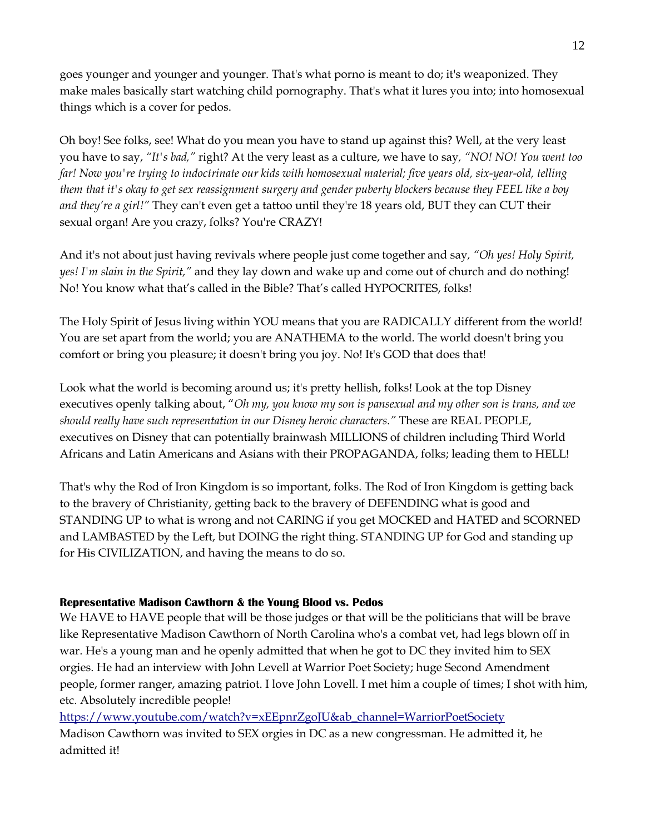goes younger and younger and younger. That's what porno is meant to do; it's weaponized. They make males basically start watching child pornography. That's what it lures you into; into homosexual things which is a cover for pedos.

Oh boy! See folks, see! What do you mean you have to stand up against this? Well, at the very least you have to say, *"It's bad,"* right? At the very least as a culture, we have to say*, "NO! NO! You went too far! Now you're trying to indoctrinate our kids with homosexual material; five years old, six-year-old, telling them that it's okay to get sex reassignment surgery and gender puberty blockers because they FEEL like a boy and they're a girl!"* They can't even get a tattoo until they're 18 years old, BUT they can CUT their sexual organ! Are you crazy, folks? You're CRAZY!

And it's not about just having revivals where people just come together and say*, "Oh yes! Holy Spirit, yes! I'm slain in the Spirit,"* and they lay down and wake up and come out of church and do nothing! No! You know what that's called in the Bible? That's called HYPOCRITES, folks!

The Holy Spirit of Jesus living within YOU means that you are RADICALLY different from the world! You are set apart from the world; you are ANATHEMA to the world. The world doesn't bring you comfort or bring you pleasure; it doesn't bring you joy. No! It's GOD that does that!

Look what the world is becoming around us; it's pretty hellish, folks! Look at the top Disney executives openly talking about, "*Oh my, you know my son is pansexual and my other son is trans, and we should really have such representation in our Disney heroic characters."* These are REAL PEOPLE, executives on Disney that can potentially brainwash MILLIONS of children including Third World Africans and Latin Americans and Asians with their PROPAGANDA, folks; leading them to HELL!

That's why the Rod of Iron Kingdom is so important, folks. The Rod of Iron Kingdom is getting back to the bravery of Christianity, getting back to the bravery of DEFENDING what is good and STANDING UP to what is wrong and not CARING if you get MOCKED and HATED and SCORNED and LAMBASTED by the Left, but DOING the right thing. STANDING UP for God and standing up for His CIVILIZATION, and having the means to do so.

## **Representative Madison Cawthorn & the Young Blood vs. Pedos**

We HAVE to HAVE people that will be those judges or that will be the politicians that will be brave like Representative Madison Cawthorn of North Carolina who's a combat vet, had legs blown off in war. He's a young man and he openly admitted that when he got to DC they invited him to SEX orgies. He had an interview with John Levell at Warrior Poet Society; huge Second Amendment people, former ranger, amazing patriot. I love John Lovell. I met him a couple of times; I shot with him, etc. Absolutely incredible people!

https://www.youtube.com/watch?v=xEEpnrZgoJU&ab\_channel=WarriorPoetSociety Madison Cawthorn was invited to SEX orgies in DC as a new congressman. He admitted it, he admitted it!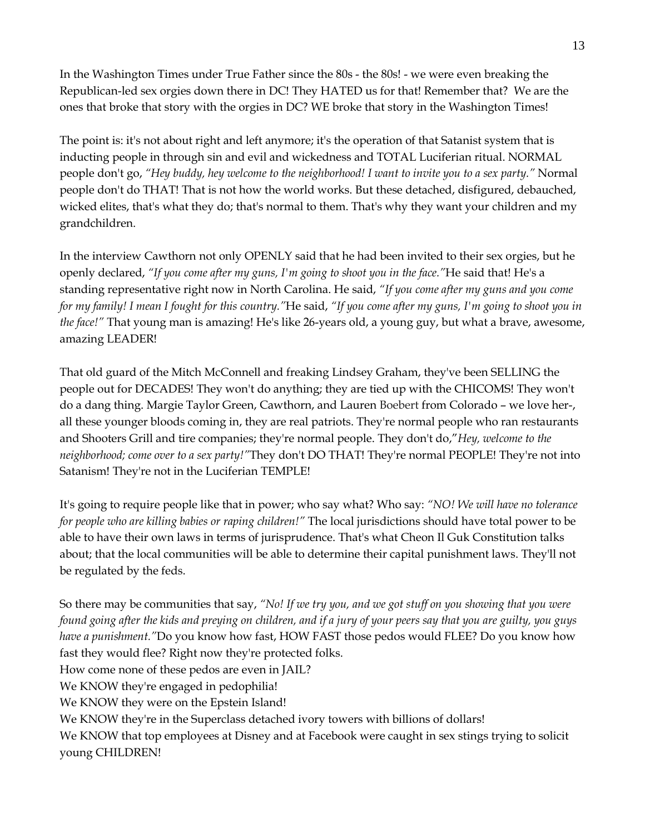In the Washington Times under True Father since the 80s - the 80s! - we were even breaking the Republican-led sex orgies down there in DC! They HATED us for that! Remember that? We are the ones that broke that story with the orgies in DC? WE broke that story in the Washington Times!

The point is: it's not about right and left anymore; it's the operation of that Satanist system that is inducting people in through sin and evil and wickedness and TOTAL Luciferian ritual. NORMAL people don't go, *"Hey buddy, hey welcome to the neighborhood! I want to invite you to a sex party."* Normal people don't do THAT! That is not how the world works. But these detached, disfigured, debauched, wicked elites, that's what they do; that's normal to them. That's why they want your children and my grandchildren.

In the interview Cawthorn not only OPENLY said that he had been invited to their sex orgies, but he openly declared, *"If you come after my guns, I'm going to shoot you in the face."*He said that! He's a standing representative right now in North Carolina. He said, *"If you come after my guns and you come for my family! I mean I fought for this country."*He said, *"If you come after my guns, I'm going to shoot you in the face!"* That young man is amazing! He's like 26-years old, a young guy, but what a brave, awesome, amazing LEADER!

That old guard of the Mitch McConnell and freaking Lindsey Graham, they've been SELLING the people out for DECADES! They won't do anything; they are tied up with the CHICOMS! They won't do a dang thing. Margie Taylor Green, Cawthorn, and Lauren Boebert from Colorado – we love her-, all these younger bloods coming in, they are real patriots. They're normal people who ran restaurants and Shooters Grill and tire companies; they're normal people. They don't do,"*Hey, welcome to the neighborhood; come over to a sex party!"*They don't DO THAT! They're normal PEOPLE! They're not into Satanism! They're not in the Luciferian TEMPLE!

It's going to require people like that in power; who say what? Who say: *"NO! We will have no tolerance for people who are killing babies or raping children!"* The local jurisdictions should have total power to be able to have their own laws in terms of jurisprudence. That's what Cheon Il Guk Constitution talks about; that the local communities will be able to determine their capital punishment laws. They'll not be regulated by the feds.

So there may be communities that say, *"No! If we try you, and we got stuff on you showing that you were found going after the kids and preying on children, and if a jury of your peers say that you are guilty, you guys have a punishment."*Do you know how fast, HOW FAST those pedos would FLEE? Do you know how fast they would flee? Right now they're protected folks. How come none of these pedos are even in JAIL? We KNOW they're engaged in pedophilia! We KNOW they were on the Epstein Island! We KNOW they're in the Superclass detached ivory towers with billions of dollars! We KNOW that top employees at Disney and at Facebook were caught in sex stings trying to solicit

young CHILDREN!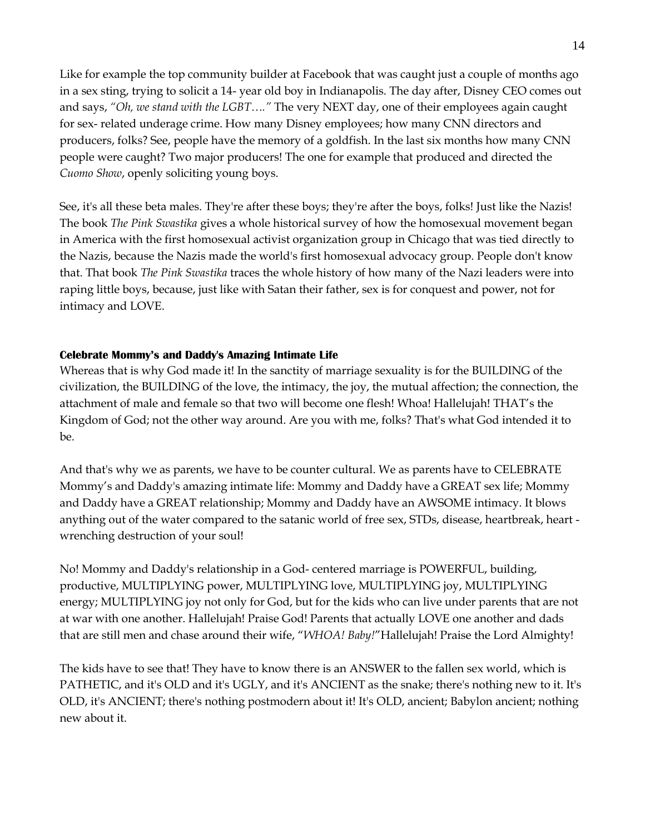Like for example the top community builder at Facebook that was caught just a couple of months ago in a sex sting, trying to solicit a 14- year old boy in Indianapolis. The day after, Disney CEO comes out and says, *"Oh, we stand with the LGBT…."* The very NEXT day, one of their employees again caught for sex- related underage crime. How many Disney employees; how many CNN directors and producers, folks? See, people have the memory of a goldfish. In the last six months how many CNN people were caught? Two major producers! The one for example that produced and directed the *Cuomo Show*, openly soliciting young boys.

See, it's all these beta males. They're after these boys; they're after the boys, folks! Just like the Nazis! The book *The Pink Swastika* gives a whole historical survey of how the homosexual movement began in America with the first homosexual activist organization group in Chicago that was tied directly to the Nazis, because the Nazis made the world's first homosexual advocacy group. People don't know that. That book *The Pink Swastika* traces the whole history of how many of the Nazi leaders were into raping little boys, because, just like with Satan their father, sex is for conquest and power, not for intimacy and LOVE.

### **Celebrate Mommy's and Daddy's Amazing Intimate Life**

Whereas that is why God made it! In the sanctity of marriage sexuality is for the BUILDING of the civilization, the BUILDING of the love, the intimacy, the joy, the mutual affection; the connection, the attachment of male and female so that two will become one flesh! Whoa! Hallelujah! THAT's the Kingdom of God; not the other way around. Are you with me, folks? That's what God intended it to be.

And that's why we as parents, we have to be counter cultural. We as parents have to CELEBRATE Mommy's and Daddy's amazing intimate life: Mommy and Daddy have a GREAT sex life; Mommy and Daddy have a GREAT relationship; Mommy and Daddy have an AWSOME intimacy. It blows anything out of the water compared to the satanic world of free sex, STDs, disease, heartbreak, heart wrenching destruction of your soul!

No! Mommy and Daddy's relationship in a God- centered marriage is POWERFUL, building, productive, MULTIPLYING power, MULTIPLYING love, MULTIPLYING joy, MULTIPLYING energy; MULTIPLYING joy not only for God, but for the kids who can live under parents that are not at war with one another. Hallelujah! Praise God! Parents that actually LOVE one another and dads that are still men and chase around their wife, "*WHOA! Baby!*"Hallelujah! Praise the Lord Almighty!

The kids have to see that! They have to know there is an ANSWER to the fallen sex world, which is PATHETIC, and it's OLD and it's UGLY, and it's ANCIENT as the snake; there's nothing new to it. It's OLD, it's ANCIENT; there's nothing postmodern about it! It's OLD, ancient; Babylon ancient; nothing new about it.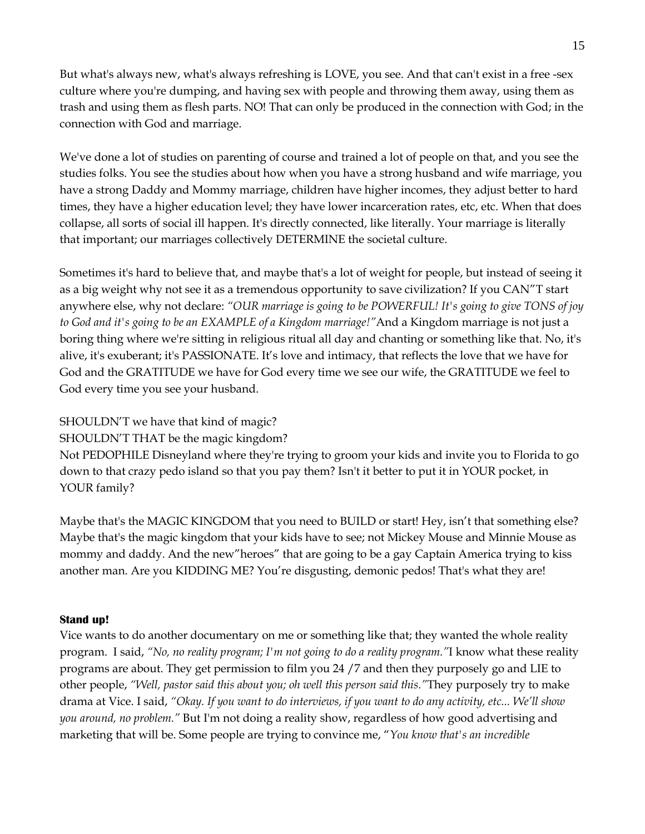But what's always new, what's always refreshing is LOVE, you see. And that can't exist in a free -sex culture where you're dumping, and having sex with people and throwing them away, using them as trash and using them as flesh parts. NO! That can only be produced in the connection with God; in the connection with God and marriage.

We've done a lot of studies on parenting of course and trained a lot of people on that, and you see the studies folks. You see the studies about how when you have a strong husband and wife marriage, you have a strong Daddy and Mommy marriage, children have higher incomes, they adjust better to hard times, they have a higher education level; they have lower incarceration rates, etc, etc. When that does collapse, all sorts of social ill happen. It's directly connected, like literally. Your marriage is literally that important; our marriages collectively DETERMINE the societal culture.

Sometimes it's hard to believe that, and maybe that's a lot of weight for people, but instead of seeing it as a big weight why not see it as a tremendous opportunity to save civilization? If you CAN"T start anywhere else, why not declare: *"OUR marriage is going to be POWERFUL! It's going to give TONS of joy to God and it's going to be an EXAMPLE of a Kingdom marriage!"*And a Kingdom marriage is not just a boring thing where we're sitting in religious ritual all day and chanting or something like that. No, it's alive, it's exuberant; it's PASSIONATE. It's love and intimacy, that reflects the love that we have for God and the GRATITUDE we have for God every time we see our wife, the GRATITUDE we feel to God every time you see your husband.

SHOULDN'T we have that kind of magic?

SHOULDN'T THAT be the magic kingdom?

Not PEDOPHILE Disneyland where they're trying to groom your kids and invite you to Florida to go down to that crazy pedo island so that you pay them? Isn't it better to put it in YOUR pocket, in YOUR family?

Maybe that's the MAGIC KINGDOM that you need to BUILD or start! Hey, isn't that something else? Maybe that's the magic kingdom that your kids have to see; not Mickey Mouse and Minnie Mouse as mommy and daddy. And the new"heroes" that are going to be a gay Captain America trying to kiss another man. Are you KIDDING ME? You're disgusting, demonic pedos! That's what they are!

## **Stand up!**

Vice wants to do another documentary on me or something like that; they wanted the whole reality program. I said, *"No, no reality program; I'm not going to do a reality program."*I know what these reality programs are about. They get permission to film you 24 /7 and then they purposely go and LIE to other people, *"Well, pastor said this about you; oh well this person said this."*They purposely try to make drama at Vice. I said, *"Okay. If you want to do interviews, if you want to do any activity, etc... We'll show you around, no problem."* But I'm not doing a reality show, regardless of how good advertising and marketing that will be. Some people are trying to convince me, "*You know that's an incredible*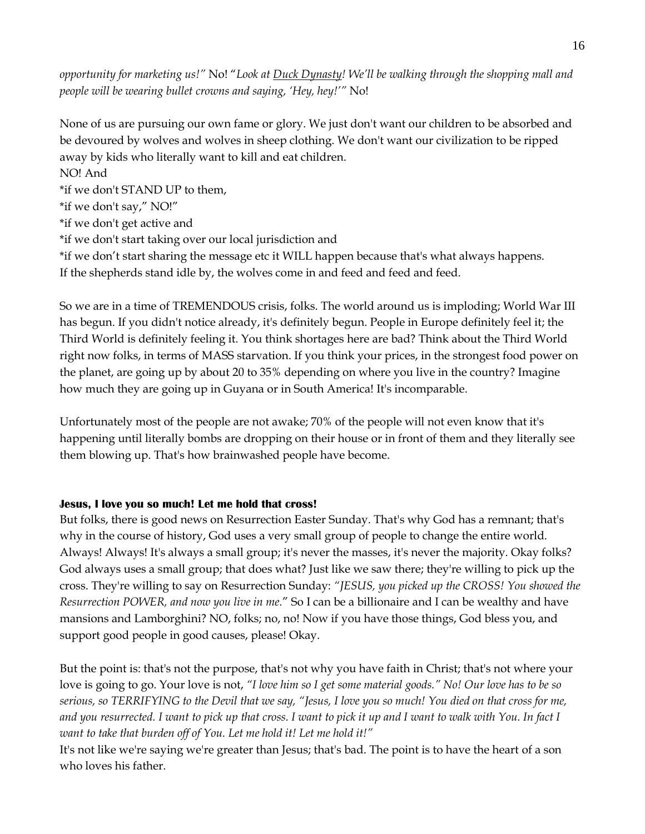*opportunity for marketing us!"* No! "*Look at Duck Dynasty! We'll be walking through the shopping mall and people will be wearing bullet crowns and saying, 'Hey, hey!'"* No!

None of us are pursuing our own fame or glory. We just don't want our children to be absorbed and be devoured by wolves and wolves in sheep clothing. We don't want our civilization to be ripped away by kids who literally want to kill and eat children.

# NO! And

\*if we don't STAND UP to them,

\*if we don't say," NO!"

\*if we don't get active and

\*if we don't start taking over our local jurisdiction and

\*if we don't start sharing the message etc it WILL happen because that's what always happens. If the shepherds stand idle by, the wolves come in and feed and feed and feed.

So we are in a time of TREMENDOUS crisis, folks. The world around us is imploding; World War III has begun. If you didn't notice already, it's definitely begun. People in Europe definitely feel it; the Third World is definitely feeling it. You think shortages here are bad? Think about the Third World right now folks, in terms of MASS starvation. If you think your prices, in the strongest food power on the planet, are going up by about 20 to 35% depending on where you live in the country? Imagine how much they are going up in Guyana or in South America! It's incomparable.

Unfortunately most of the people are not awake; 70% of the people will not even know that it's happening until literally bombs are dropping on their house or in front of them and they literally see them blowing up. That's how brainwashed people have become.

## **Jesus, I love you so much! Let me hold that cross!**

But folks, there is good news on Resurrection Easter Sunday. That's why God has a remnant; that's why in the course of history, God uses a very small group of people to change the entire world. Always! Always! It's always a small group; it's never the masses, it's never the majority. Okay folks? God always uses a small group; that does what? Just like we saw there; they're willing to pick up the cross. They're willing to say on Resurrection Sunday: *"JESUS, you picked up the CROSS! You showed the Resurrection POWER, and now you live in me.*" So I can be a billionaire and I can be wealthy and have mansions and Lamborghini? NO, folks; no, no! Now if you have those things, God bless you, and support good people in good causes, please! Okay.

But the point is: that's not the purpose, that's not why you have faith in Christ; that's not where your love is going to go. Your love is not, *"I love him so I get some material goods." No! Our love has to be so serious, so TERRIFYING to the Devil that we say, "Jesus, I love you so much! You died on that cross for me, and you resurrected. I want to pick up that cross. I want to pick it up and I want to walk with You. In fact I want to take that burden off of You. Let me hold it! Let me hold it!"*

It's not like we're saying we're greater than Jesus; that's bad. The point is to have the heart of a son who loves his father.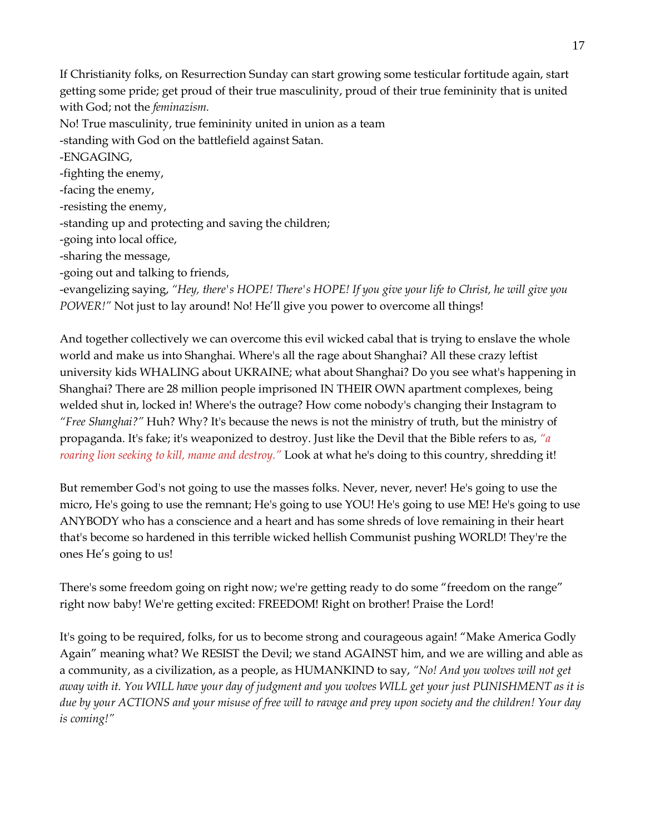If Christianity folks, on Resurrection Sunday can start growing some testicular fortitude again, start getting some pride; get proud of their true masculinity, proud of their true femininity that is united with God; not the *feminazism.* No! True masculinity, true femininity united in union as a team -standing with God on the battlefield against Satan. -ENGAGING, -fighting the enemy, -facing the enemy, -resisting the enemy, -standing up and protecting and saving the children; -going into local office, -sharing the message, -going out and talking to friends, -evangelizing saying, *"Hey, there's HOPE! There's HOPE! If you give your life to Christ, he will give you POWER!"* Not just to lay around! No! He'll give you power to overcome all things!

And together collectively we can overcome this evil wicked cabal that is trying to enslave the whole world and make us into Shanghai. Where's all the rage about Shanghai? All these crazy leftist university kids WHALING about UKRAINE; what about Shanghai? Do you see what's happening in Shanghai? There are 28 million people imprisoned IN THEIR OWN apartment complexes, being welded shut in, locked in! Where's the outrage? How come nobody's changing their Instagram to *"Free Shanghai?"* Huh? Why? It's because the news is not the ministry of truth, but the ministry of propaganda. It's fake; it's weaponized to destroy. Just like the Devil that the Bible refers to as, *"a roaring lion seeking to kill, mame and destroy."* Look at what he's doing to this country, shredding it!

But remember God's not going to use the masses folks. Never, never, never! He's going to use the micro, He's going to use the remnant; He's going to use YOU! He's going to use ME! He's going to use ANYBODY who has a conscience and a heart and has some shreds of love remaining in their heart that's become so hardened in this terrible wicked hellish Communist pushing WORLD! They're the ones He's going to us!

There's some freedom going on right now; we're getting ready to do some "freedom on the range" right now baby! We're getting excited: FREEDOM! Right on brother! Praise the Lord!

It's going to be required, folks, for us to become strong and courageous again! "Make America Godly Again" meaning what? We RESIST the Devil; we stand AGAINST him, and we are willing and able as a community, as a civilization, as a people, as HUMANKIND to say, *"No! And you wolves will not get away with it. You WILL have your day of judgment and you wolves WILL get your just PUNISHMENT as it is due by your ACTIONS and your misuse of free will to ravage and prey upon society and the children! Your day is coming!"*